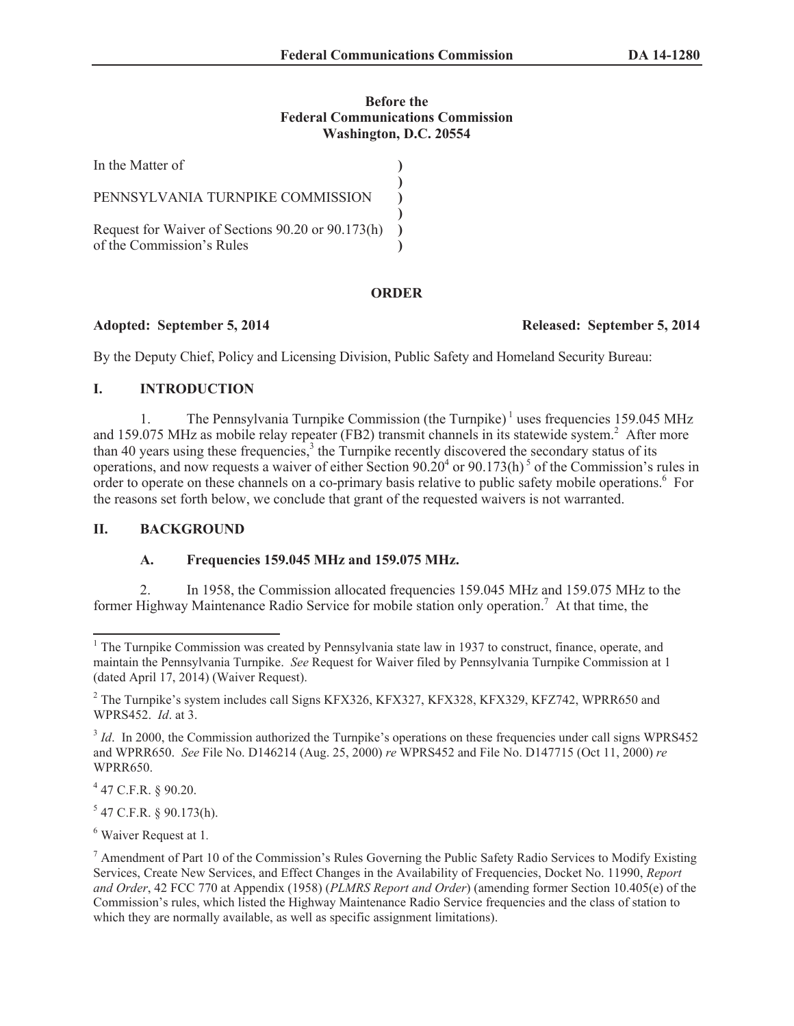### **Before the Federal Communications Commission Washington, D.C. 20554**

| In the Matter of                                                               |  |
|--------------------------------------------------------------------------------|--|
| PENNSYLVANIA TURNPIKE COMMISSION                                               |  |
| Request for Waiver of Sections 90.20 or 90.173(h)<br>of the Commission's Rules |  |

## **ORDER**

### **Adopted: September 5, 2014 Released: September 5, 2014**

By the Deputy Chief, Policy and Licensing Division, Public Safety and Homeland Security Bureau:

# **I. INTRODUCTION**

1. The Pennsylvania Turnpike Commission (the Turnpike)<sup>1</sup> uses frequencies 159.045 MHz and 159.075 MHz as mobile relay repeater (FB2) transmit channels in its statewide system.<sup>2</sup> After more than 40 years using these frequencies, $3$  the Turnpike recently discovered the secondary status of its operations, and now requests a waiver of either Section  $90.20^4$  or  $90.173(h)^5$  of the Commission's rules in order to operate on these channels on a co-primary basis relative to public safety mobile operations.<sup>6</sup> For the reasons set forth below, we conclude that grant of the requested waivers is not warranted.

## **II. BACKGROUND**

## **A. Frequencies 159.045 MHz and 159.075 MHz.**

2. In 1958, the Commission allocated frequencies 159.045 MHz and 159.075 MHz to the former Highway Maintenance Radio Service for mobile station only operation.<sup>7</sup> At that time, the

4 47 C.F.R. § 90.20.

 $5$  47 C.F.R. § 90.173(h).

<sup>6</sup> Waiver Request at 1*.*

<sup>&</sup>lt;sup>1</sup> The Turnpike Commission was created by Pennsylvania state law in 1937 to construct, finance, operate, and maintain the Pennsylvania Turnpike. *See* Request for Waiver filed by Pennsylvania Turnpike Commission at 1 (dated April 17, 2014) (Waiver Request).

<sup>&</sup>lt;sup>2</sup> The Turnpike's system includes call Signs KFX326, KFX327, KFX328, KFX329, KFZ742, WPRR650 and WPRS452. *Id*. at 3.

<sup>&</sup>lt;sup>3</sup> *Id*. In 2000, the Commission authorized the Turnpike's operations on these frequencies under call signs WPRS452 and WPRR650. *See* File No. D146214 (Aug. 25, 2000) *re* WPRS452 and File No. D147715 (Oct 11, 2000) *re* WPRR650.

 $^7$  Amendment of Part 10 of the Commission's Rules Governing the Public Safety Radio Services to Modify Existing Services, Create New Services, and Effect Changes in the Availability of Frequencies, Docket No. 11990, *Report and Order*, 42 FCC 770 at Appendix (1958) (*PLMRS Report and Order*) (amending former Section 10.405(e) of the Commission's rules, which listed the Highway Maintenance Radio Service frequencies and the class of station to which they are normally available, as well as specific assignment limitations).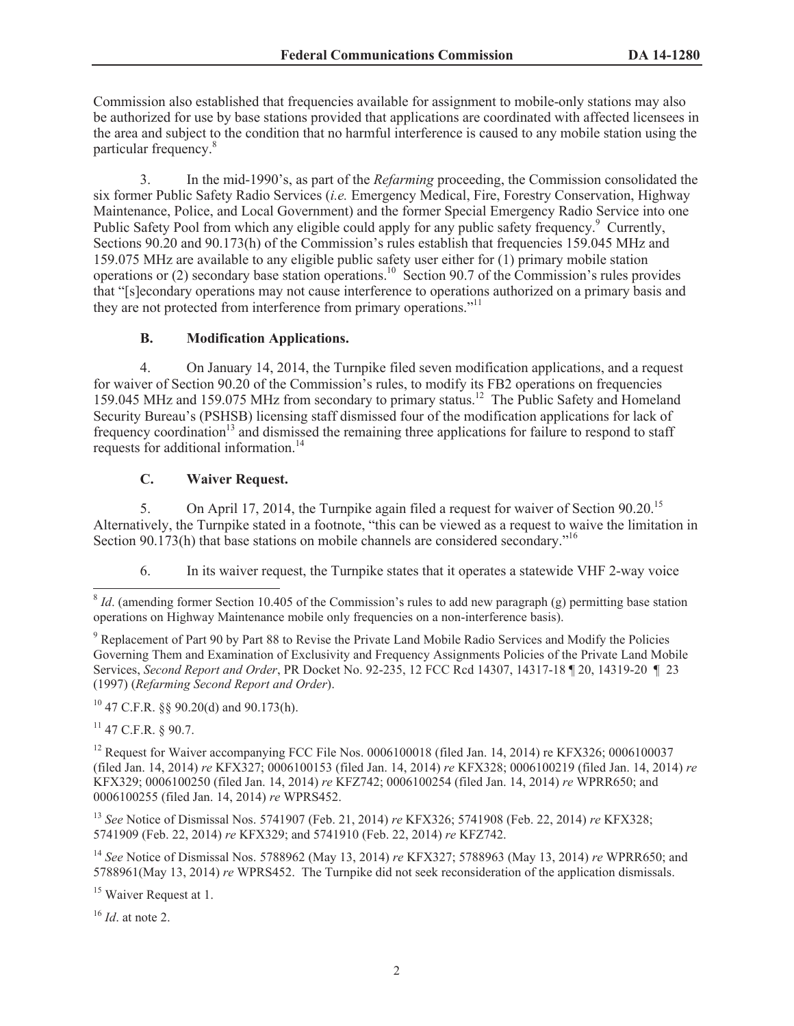Commission also established that frequencies available for assignment to mobile-only stations may also be authorized for use by base stations provided that applications are coordinated with affected licensees in the area and subject to the condition that no harmful interference is caused to any mobile station using the particular frequency.<sup>8</sup>

3. In the mid-1990's, as part of the *Refarming* proceeding, the Commission consolidated the six former Public Safety Radio Services (*i.e.* Emergency Medical, Fire, Forestry Conservation, Highway Maintenance, Police, and Local Government) and the former Special Emergency Radio Service into one Public Safety Pool from which any eligible could apply for any public safety frequency.<sup>9</sup> Currently, Sections 90.20 and 90.173(h) of the Commission's rules establish that frequencies 159.045 MHz and 159.075 MHz are available to any eligible public safety user either for (1) primary mobile station operations or (2) secondary base station operations.<sup>10</sup> Section 90.7 of the Commission's rules provides that "[s]econdary operations may not cause interference to operations authorized on a primary basis and they are not protected from interference from primary operations."<sup>11</sup>

### **B. Modification Applications.**

4. On January 14, 2014, the Turnpike filed seven modification applications, and a request for waiver of Section 90.20 of the Commission's rules, to modify its FB2 operations on frequencies 159.045 MHz and 159.075 MHz from secondary to primary status.<sup>12</sup> The Public Safety and Homeland Security Bureau's (PSHSB) licensing staff dismissed four of the modification applications for lack of frequency coordination<sup>13</sup> and dismissed the remaining three applications for failure to respond to staff requests for additional information.<sup>14</sup>

### **C. Waiver Request.**

5. On April 17, 2014, the Turnpike again filed a request for waiver of Section 90.20.<sup>15</sup> Alternatively, the Turnpike stated in a footnote, "this can be viewed as a request to waive the limitation in Section 90.173(h) that base stations on mobile channels are considered secondary.<sup>16</sup>

6. In its waiver request, the Turnpike states that it operates a statewide VHF 2-way voice

<sup>9</sup> Replacement of Part 90 by Part 88 to Revise the Private Land Mobile Radio Services and Modify the Policies Governing Them and Examination of Exclusivity and Frequency Assignments Policies of the Private Land Mobile Services, *Second Report and Order*, PR Docket No. 92-235, 12 FCC Rcd 14307, 14317-18 ¶ 20, 14319-20 ¶ 23 (1997) (*Refarming Second Report and Order*).

<sup>10</sup> 47 C.F.R. §§ 90.20(d) and 90.173(h).

 $11$  47 C.F.R. § 90.7.

<sup>12</sup> Request for Waiver accompanying FCC File Nos. 0006100018 (filed Jan. 14, 2014) re KFX326; 0006100037 (filed Jan. 14, 2014) *re* KFX327; 0006100153 (filed Jan. 14, 2014) *re* KFX328; 0006100219 (filed Jan. 14, 2014) *re* KFX329; 0006100250 (filed Jan. 14, 2014) *re* KFZ742; 0006100254 (filed Jan. 14, 2014) *re* WPRR650; and 0006100255 (filed Jan. 14, 2014) *re* WPRS452.

<sup>13</sup> *See* Notice of Dismissal Nos. 5741907 (Feb. 21, 2014) *re* KFX326; 5741908 (Feb. 22, 2014) *re* KFX328; 5741909 (Feb. 22, 2014) *re* KFX329; and 5741910 (Feb. 22, 2014) *re* KFZ742.

<sup>14</sup> *See* Notice of Dismissal Nos. 5788962 (May 13, 2014) *re* KFX327; 5788963 (May 13, 2014) *re* WPRR650; and 5788961(May 13, 2014) *re* WPRS452. The Turnpike did not seek reconsideration of the application dismissals.

<sup>15</sup> Waiver Request at 1.

<sup>16</sup> *Id*. at note 2.

<sup>&</sup>lt;sup>8</sup> *Id*. (amending former Section 10.405 of the Commission's rules to add new paragraph (g) permitting base station operations on Highway Maintenance mobile only frequencies on a non-interference basis).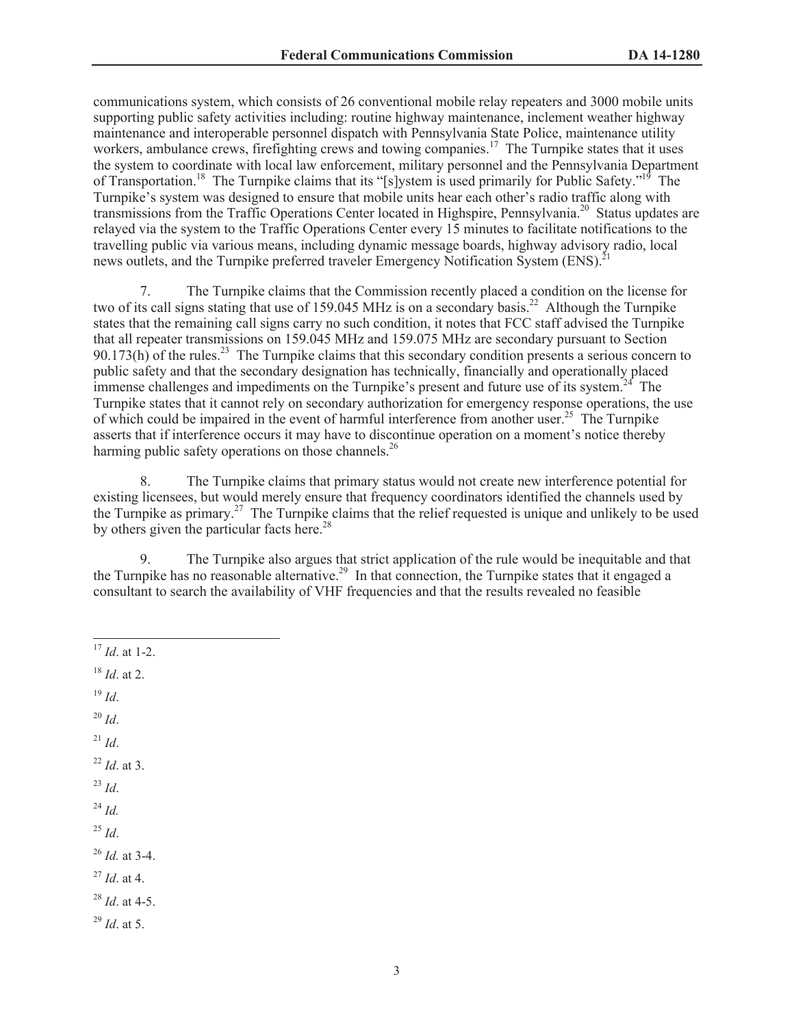communications system, which consists of 26 conventional mobile relay repeaters and 3000 mobile units supporting public safety activities including: routine highway maintenance, inclement weather highway maintenance and interoperable personnel dispatch with Pennsylvania State Police, maintenance utility workers, ambulance crews, firefighting crews and towing companies.<sup>17</sup> The Turnpike states that it uses the system to coordinate with local law enforcement, military personnel and the Pennsylvania Department of Transportation.<sup>18</sup> The Turnpike claims that its "[s]ystem is used primarily for Public Safety."<sup>19</sup> The Turnpike's system was designed to ensure that mobile units hear each other's radio traffic along with transmissions from the Traffic Operations Center located in Highspire, Pennsylvania.<sup>20</sup> Status updates are relayed via the system to the Traffic Operations Center every 15 minutes to facilitate notifications to the travelling public via various means, including dynamic message boards, highway advisory radio, local news outlets, and the Turnpike preferred traveler Emergency Notification System (ENS).<sup>2</sup>

7. The Turnpike claims that the Commission recently placed a condition on the license for two of its call signs stating that use of 159.045 MHz is on a secondary basis.<sup>22</sup> Although the Turnpike states that the remaining call signs carry no such condition, it notes that FCC staff advised the Turnpike that all repeater transmissions on 159.045 MHz and 159.075 MHz are secondary pursuant to Section  $90.173(h)$  of the rules.<sup>23</sup> The Turnpike claims that this secondary condition presents a serious concern to public safety and that the secondary designation has technically, financially and operationally placed immense challenges and impediments on the Turnpike's present and future use of its system.<sup>24</sup> The Turnpike states that it cannot rely on secondary authorization for emergency response operations, the use of which could be impaired in the event of harmful interference from another user.<sup>25</sup> The Turnpike asserts that if interference occurs it may have to discontinue operation on a moment's notice thereby harming public safety operations on those channels.<sup>26</sup>

8. The Turnpike claims that primary status would not create new interference potential for existing licensees, but would merely ensure that frequency coordinators identified the channels used by the Turnpike as primary.<sup>27</sup> The Turnpike claims that the relief requested is unique and unlikely to be used by others given the particular facts here.<sup>28</sup>

9. The Turnpike also argues that strict application of the rule would be inequitable and that the Turnpike has no reasonable alternative.<sup>29</sup> In that connection, the Turnpike states that it engaged a consultant to search the availability of VHF frequencies and that the results revealed no feasible

- <sup>18</sup> *Id*. at 2.
- <sup>19</sup> *Id*.
- <sup>20</sup> *Id*.
- $^{21}$  *Id.*
- <sup>22</sup> *Id*. at 3.
- <sup>23</sup> *Id*.
- <sup>24</sup> *Id.*
- <sup>25</sup> *Id*.
- <sup>26</sup> *Id.* at 3-4.
- <sup>27</sup> *Id*. at 4.
- <sup>28</sup> *Id*. at 4-5.
- <sup>29</sup> *Id*. at 5.

<sup>17</sup> *Id*. at 1-2.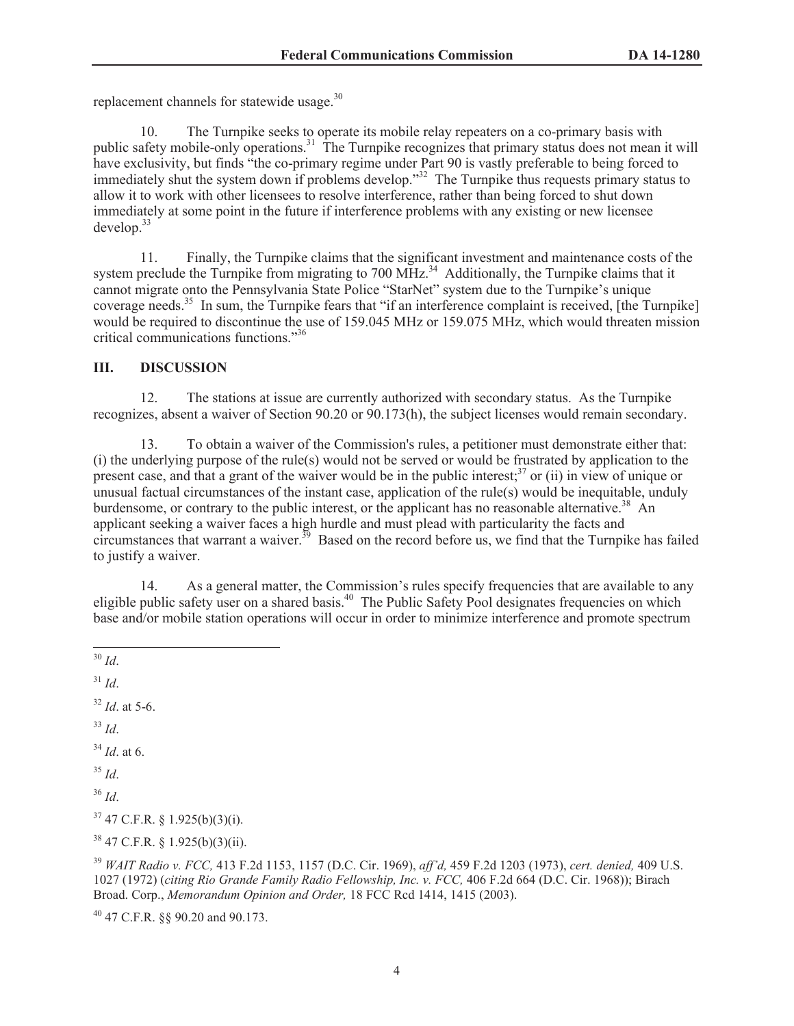replacement channels for statewide usage.<sup>30</sup>

10. The Turnpike seeks to operate its mobile relay repeaters on a co-primary basis with public safety mobile-only operations.<sup>31</sup> The Turnpike recognizes that primary status does not mean it will have exclusivity, but finds "the co-primary regime under Part 90 is vastly preferable to being forced to immediately shut the system down if problems develop."<sup>32</sup> The Turnpike thus requests primary status to allow it to work with other licensees to resolve interference, rather than being forced to shut down immediately at some point in the future if interference problems with any existing or new licensee  $develop.<sup>33</sup>$ 

11. Finally, the Turnpike claims that the significant investment and maintenance costs of the system preclude the Turnpike from migrating to 700 MHz.<sup>34</sup> Additionally, the Turnpike claims that it cannot migrate onto the Pennsylvania State Police "StarNet" system due to the Turnpike's unique coverage needs.<sup>35</sup> In sum, the Turnpike fears that "if an interference complaint is received, [the Turnpike] would be required to discontinue the use of 159.045 MHz or 159.075 MHz, which would threaten mission critical communications functions."<sup>36</sup>

### **III. DISCUSSION**

12. The stations at issue are currently authorized with secondary status. As the Turnpike recognizes, absent a waiver of Section 90.20 or 90.173(h), the subject licenses would remain secondary.

13. To obtain a waiver of the Commission's rules, a petitioner must demonstrate either that: (i) the underlying purpose of the rule(s) would not be served or would be frustrated by application to the present case, and that a grant of the waiver would be in the public interest;<sup>37</sup> or (ii) in view of unique or unusual factual circumstances of the instant case, application of the rule(s) would be inequitable, unduly burdensome, or contrary to the public interest, or the applicant has no reasonable alternative.<sup>38</sup> An applicant seeking a waiver faces a high hurdle and must plead with particularity the facts and circumstances that warrant a waiver.<sup>39</sup> Based on the record before us, we find that the Turnpike has failed to justify a waiver.

14. As a general matter, the Commission's rules specify frequencies that are available to any eligible public safety user on a shared basis.<sup>40</sup> The Public Safety Pool designates frequencies on which base and/or mobile station operations will occur in order to minimize interference and promote spectrum

 $31$  *Id.* 

<sup>32</sup> *Id*. at 5-6.

<sup>33</sup> *Id*.

<sup>34</sup> *Id*. at 6.

<sup>35</sup> *Id*.

<sup>36</sup> *Id*.

 $37$  47 C.F.R. § 1.925(b)(3)(i).

<sup>38</sup> 47 C.F.R. § 1.925(b)(3)(ii).

<sup>39</sup> *WAIT Radio v. FCC,* 413 F.2d 1153, 1157 (D.C. Cir. 1969), *aff'd,* 459 F.2d 1203 (1973), *cert. denied,* 409 U.S. 1027 (1972) (*citing Rio Grande Family Radio Fellowship, Inc. v. FCC,* 406 F.2d 664 (D.C. Cir. 1968)); Birach Broad. Corp., *Memorandum Opinion and Order,* 18 FCC Rcd 1414, 1415 (2003).

<sup>40</sup> 47 C.F.R. §§ 90.20 and 90.173.

<sup>30</sup> *Id*.